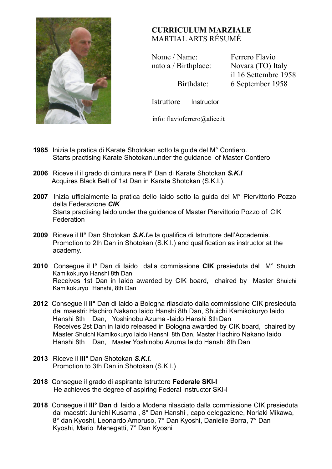

## **CURRICULUM MARZIALE** MARTIAL ARTS RÉSUMÉ

**Nome / Name:** Ferrero Flavio nato a / Birthplace: Novara (TO) Italy

il 16 Settembre 1958 Birthdate: 6 September 1958

Istruttore Instructor

info: flavioferrero@alice.it

- **1985** lnizia la pratica di Karate Shotokan sotto la guida del M° Contiero. Starts practising Karate Shotokan.under the guidance of Master Contiero
- **2006** Riceve il il grado di cintura nera **I°** Dan di Karate Shotokan *S.K.I* Acquires Black Belt of 1st Dan in Karate Shotokan (S.K.I.).
- **2007** Inizia ufficialmente la pratica dello Iaido sotto la guida del M° Piervittorio Pozzo della Federazione *CIK*  Starts practising Iaido under the guidance of Master Piervittorio Pozzo of CIK **Federation**
- **2009** Riceve il **II°** Dan Shotokan *S.K.I.*e la qualifica di Istruttore dell'Accademia. Promotion to 2th Dan in Shotokan (S.K.I.) and qualification as instructor at the academy.
- **2010** Consegue il **I°** Dan di Iaido dalla commissione **CIK** presieduta dal M° Shuichi Kamikokuryo Hanshi 8th Dan Receives 1st Dan in Iaido awarded by CIK board,chaired by Master Shuichi Kamikokuryo Hanshi, 8th Dan
- **2012** Consegue il **II°** Dan di Iaido a Bologna rilasciato dalla commissione CIK presieduta dai maestri: Hachiro Nakano Iaido Hanshi 8th Dan, Shuichi Kamikokuryo Iaido Hanshi 8th Dan, Yoshinobu Azuma -Iaido Hanshi 8th Dan Receives 2st Dan in Iaido released in Bologna awarded by CIK board,chaired by Master Shuichi Kamikokuryo Iaido Hanshi, 8th Dan, Master Hachiro Nakano Iaido Hanshi 8th Dan, Master Yoshinobu Azuma Iaido Hanshi 8th Dan
- **2013** Riceve il **III°** Dan Shotokan *S.K.I.* Promotion to 3th Dan in Shotokan (S.K.I.)
- **2018** Consegue il grado di aspirante Istruttore **Federale SKI-I** He achieves the degree of aspiring Federal Instructor SKI-I
- **2018** Consegue il **III° Dan** di Iaido a Modena rilasciato dalla commissione CIK presieduta dai maestri: Junichi Kusama , 8° Dan Hanshi , capo delegazione, Noriaki Mikawa, 8° dan Kyoshi, Leonardo Amoruso, 7° Dan Kyoshi, Danielle Borra, 7° Dan Kyoshi, Mario Menegatti, 7° Dan Kyoshi